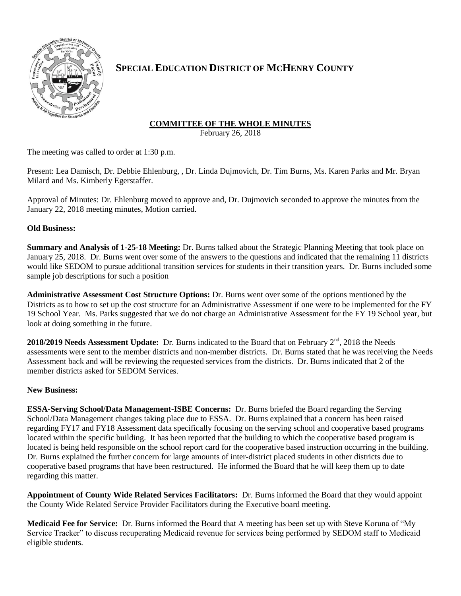

# **SPECIAL EDUCATION DISTRICT OF MCHENRY COUNTY**

## **COMMITTEE OF THE WHOLE MINUTES**

February 26, 2018

The meeting was called to order at 1:30 p.m.

Present: Lea Damisch, Dr. Debbie Ehlenburg, , Dr. Linda Dujmovich, Dr. Tim Burns, Ms. Karen Parks and Mr. Bryan Milard and Ms. Kimberly Egerstaffer.

Approval of Minutes: Dr. Ehlenburg moved to approve and, Dr. Dujmovich seconded to approve the minutes from the January 22, 2018 meeting minutes, Motion carried.

### **Old Business:**

**Summary and Analysis of 1-25-18 Meeting:** Dr. Burns talked about the Strategic Planning Meeting that took place on January 25, 2018. Dr. Burns went over some of the answers to the questions and indicated that the remaining 11 districts would like SEDOM to pursue additional transition services for students in their transition years. Dr. Burns included some sample job descriptions for such a position

**Administrative Assessment Cost Structure Options:** Dr. Burns went over some of the options mentioned by the Districts as to how to set up the cost structure for an Administrative Assessment if one were to be implemented for the FY 19 School Year. Ms. Parks suggested that we do not charge an Administrative Assessment for the FY 19 School year, but look at doing something in the future.

2018/2019 Needs Assessment Update: Dr. Burns indicated to the Board that on February 2<sup>nd</sup>, 2018 the Needs assessments were sent to the member districts and non-member districts. Dr. Burns stated that he was receiving the Needs Assessment back and will be reviewing the requested services from the districts. Dr. Burns indicated that 2 of the member districts asked for SEDOM Services.

### **New Business:**

**ESSA-Serving School/Data Management-ISBE Concerns:** Dr. Burns briefed the Board regarding the Serving School/Data Management changes taking place due to ESSA. Dr. Burns explained that a concern has been raised regarding FY17 and FY18 Assessment data specifically focusing on the serving school and cooperative based programs located within the specific building. It has been reported that the building to which the cooperative based program is located is being held responsible on the school report card for the cooperative based instruction occurring in the building. Dr. Burns explained the further concern for large amounts of inter-district placed students in other districts due to cooperative based programs that have been restructured. He informed the Board that he will keep them up to date regarding this matter.

**Appointment of County Wide Related Services Facilitators:** Dr. Burns informed the Board that they would appoint the County Wide Related Service Provider Facilitators during the Executive board meeting.

**Medicaid Fee for Service:** Dr. Burns informed the Board that A meeting has been set up with Steve Koruna of "My Service Tracker" to discuss recuperating Medicaid revenue for services being performed by SEDOM staff to Medicaid eligible students.